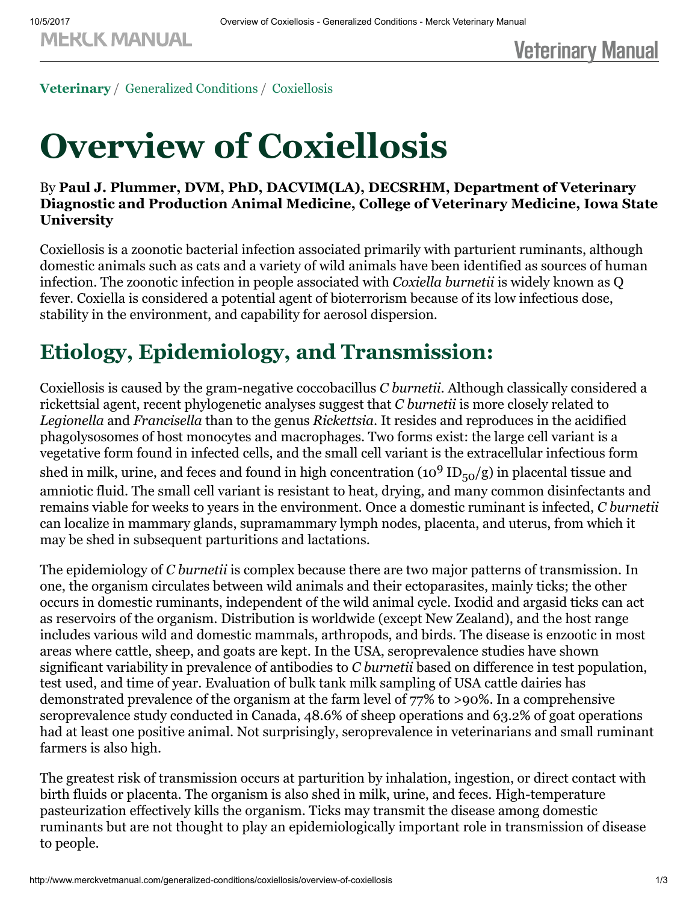[Veterinary](http://www.merckvetmanual.com/) / [Generalized Conditions](http://www.merckvetmanual.com/generalized-conditions) / [Coxiellosis](http://www.merckvetmanual.com/generalized-conditions/coxiellosis)

# Overview of Coxiellosis

#### By Paul J. Plummer, DVM, PhD, DACVIM(LA), DECSRHM, Department of Veterinary Diagnostic and Production Animal Medicine, College of Veterinary Medicine, Iowa State **University**

Coxiellosis is a zoonotic bacterial infection associated primarily with parturient ruminants, although domestic animals such as cats and a variety of wild animals have been identified as sources of human infection. The zoonotic infection in people associated with *Coxiella burnetii* is widely known as Q fever. Coxiella is considered a potential agent of bioterrorism because of its low infectious dose, stability in the environment, and capability for aerosol dispersion.

### Etiology, Epidemiology, and Transmission:

Coxiellosis is caused by the gram-negative coccobacillus *C burnetii*. Although classically considered a rickettsial agent, recent phylogenetic analyses suggest that *C burnetii* is more closely related to *Legionella* and *Francisella* than to the genus *Rickettsia*. It resides and reproduces in the acidified phagolysosomes of host monocytes and macrophages. Two forms exist: the large cell variant is a vegetative form found in infected cells, and the small cell variant is the extracellular infectious form shed in milk, urine, and feces and found in high concentration (10<sup>9</sup> ID<sub>50</sub>/g) in placental tissue and amniotic fluid. The small cell variant is resistant to heat, drying, and many common disinfectants and remains viable for weeks to years in the environment. Once a domestic ruminant is infected, *C burnetii* can localize in mammary glands, supramammary lymph nodes, placenta, and uterus, from which it may be shed in subsequent parturitions and lactations.

The epidemiology of *C burnetii* is complex because there are two major patterns of transmission. In one, the organism circulates between wild animals and their ectoparasites, mainly ticks; the other occurs in domestic ruminants, independent of the wild animal cycle. Ixodid and argasid ticks can act as reservoirs of the organism. Distribution is worldwide (except New Zealand), and the host range includes various wild and domestic mammals, arthropods, and birds. The disease is enzootic in most areas where cattle, sheep, and goats are kept. In the USA, seroprevalence studies have shown significant variability in prevalence of antibodies to *C burnetii* based on difference in test population, test used, and time of year. Evaluation of bulk tank milk sampling of USA cattle dairies has demonstrated prevalence of the organism at the farm level of 77% to >90%. In a comprehensive seroprevalence study conducted in Canada, 48.6% of sheep operations and 63.2% of goat operations had at least one positive animal. Not surprisingly, seroprevalence in veterinarians and small ruminant farmers is also high.

The greatest risk of transmission occurs at parturition by inhalation, ingestion, or direct contact with birth fluids or placenta. The organism is also shed in milk, urine, and feces. High-temperature pasteurization effectively kills the organism. Ticks may transmit the disease among domestic ruminants but are not thought to play an epidemiologically important role in transmission of disease to people.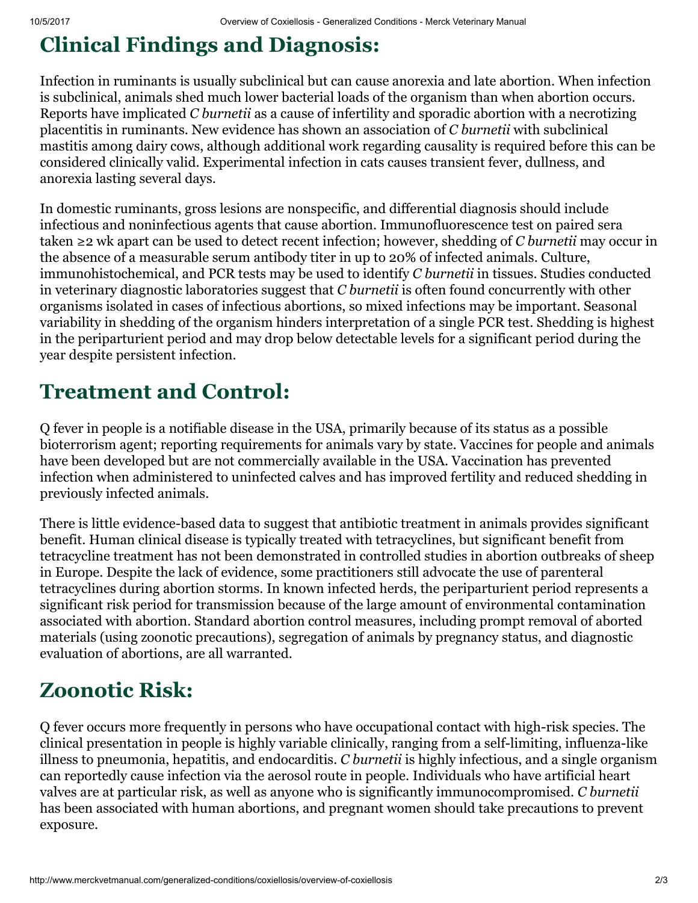## Clinical Findings and Diagnosis:

Infection in ruminants is usually subclinical but can cause anorexia and late abortion. When infection is subclinical, animals shed much lower bacterial loads of the organism than when abortion occurs. Reports have implicated *C burnetii* as a cause of infertility and sporadic abortion with a necrotizing placentitis in ruminants. New evidence has shown an association of *C burnetii* with subclinical mastitis among dairy cows, although additional work regarding causality is required before this can be considered clinically valid. Experimental infection in cats causes transient fever, dullness, and anorexia lasting several days.

In domestic ruminants, gross lesions are nonspecific, and differential diagnosis should include infectious and noninfectious agents that cause abortion. Immunofluorescence test on paired sera taken ≥2 wk apart can be used to detect recent infection; however, shedding of *C burnetii* may occur in the absence of a measurable serum antibody titer in up to 20% of infected animals. Culture, immunohistochemical, and PCR tests may be used to identify *C burnetii* in tissues. Studies conducted in veterinary diagnostic laboratories suggest that *C burnetii* is often found concurrently with other organisms isolated in cases of infectious abortions, so mixed infections may be important. Seasonal variability in shedding of the organism hinders interpretation of a single PCR test. Shedding is highest in the periparturient period and may drop below detectable levels for a significant period during the year despite persistent infection.

### Treatment and Control:

Q fever in people is a notifiable disease in the USA, primarily because of its status as a possible bioterrorism agent; reporting requirements for animals vary by state. Vaccines for people and animals have been developed but are not commercially available in the USA. Vaccination has prevented infection when administered to uninfected calves and has improved fertility and reduced shedding in previously infected animals.

There is little evidence-based data to suggest that antibiotic treatment in animals provides significant benefit. Human clinical disease is typically treated with tetracyclines, but significant benefit from tetracycline treatment has not been demonstrated in controlled studies in abortion outbreaks of sheep in Europe. Despite the lack of evidence, some practitioners still advocate the use of parenteral tetracyclines during abortion storms. In known infected herds, the periparturient period represents a significant risk period for transmission because of the large amount of environmental contamination associated with abortion. Standard abortion control measures, including prompt removal of aborted materials (using zoonotic precautions), segregation of animals by pregnancy status, and diagnostic evaluation of abortions, are all warranted.

### Zoonotic Risk:

Q fever occurs more frequently in persons who have occupational contact with high-risk species. The clinical presentation in people is highly variable clinically, ranging from a self-limiting, influenza-like illness to pneumonia, hepatitis, and endocarditis. *C burnetii* is highly infectious, and a single organism can reportedly cause infection via the aerosol route in people. Individuals who have artificial heart valves are at particular risk, as well as anyone who is significantly immunocompromised. *C burnetii* has been associated with human abortions, and pregnant women should take precautions to prevent exposure.